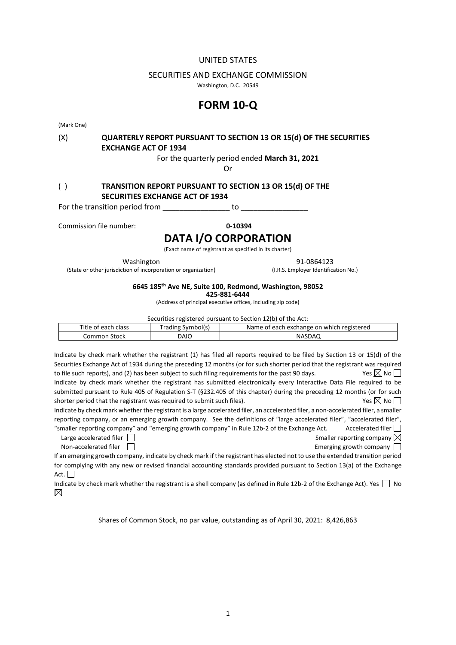## UNITED STATES

#### SECURITIES AND EXCHANGE COMMISSION

Washington, D.C. 20549

# **FORM 10-Q**

(Mark One)

## (X) **QUARTERLY REPORT PURSUANT TO SECTION 13 OR 15(d) OF THE SECURITIES EXCHANGE ACT OF 1934**

For the quarterly period ended **March 31, 2021**

Or

## ( ) **TRANSITION REPORT PURSUANT TO SECTION 13 OR 15(d) OF THE SECURITIES EXCHANGE ACT OF 1934**

For the transition period from example to go to the transition period from

Commission file number: **0-10394**

## **DATA I/O CORPORATION**

(Exact name of registrant as specified in its charter)

(State or other jurisdiction of incorporation or organization) (I.R.S. Employer Identification No.)

Washington 91-0864123

## **6645 185th Ave NE, Suite 100, Redmond, Washington, 98052**

**425-881-6444**

(Address of principal executive offices, including zip code)

Securities registered pursuant to Section 12(b) of the Act:

| Title of each class | [rading Symbol(s) | Name of each exchange on which registered |
|---------------------|-------------------|-------------------------------------------|
| Common Stock        | DAIO              | NASDAQ                                    |

Indicate by check mark whether the registrant (1) has filed all reports required to be filed by Section 13 or 15(d) of the Securities Exchange Act of 1934 during the preceding 12 months (or for such shorter period that the registrant was required to file such reports), and (2) has been subject to such filing requirements for the past 90 days. Yes  $\boxtimes$  No  $\Box$ Indicate by check mark whether the registrant has submitted electronically every Interactive Data File required to be submitted pursuant to Rule 405 of Regulation S-T (§232.405 of this chapter) during the preceding 12 months (or for such shorter period that the registrant was required to submit such files).  $Y \in \mathbb{R}$  No  $\Box$ 

Indicate by check mark whether the registrant is a large accelerated filer, an accelerated filer, a non-accelerated filer, a smaller reporting company, or an emerging growth company. See the definitions of "large accelerated filer", "accelerated filer", "smaller reporting company" and "emerging growth company" in Rule 12b-2 of the Exchange Act. Accelerated filer  $\Box$ 

Large accelerated filer  $\Box$ Non-accelerated filer  $\Box$ 

If an emerging growth company, indicate by check mark if the registrant has elected not to use the extended transition period for complying with any new or revised financial accounting standards provided pursuant to Section 13(a) of the Exchange Act.  $\Box$ 

Indicate by check mark whether the registrant is a shell company (as defined in Rule 12b-2 of the Exchange Act). Yes  $\Box$  No  $\boxtimes$ 

Shares of Common Stock, no par value, outstanding as of April 30, 2021: 8,426,863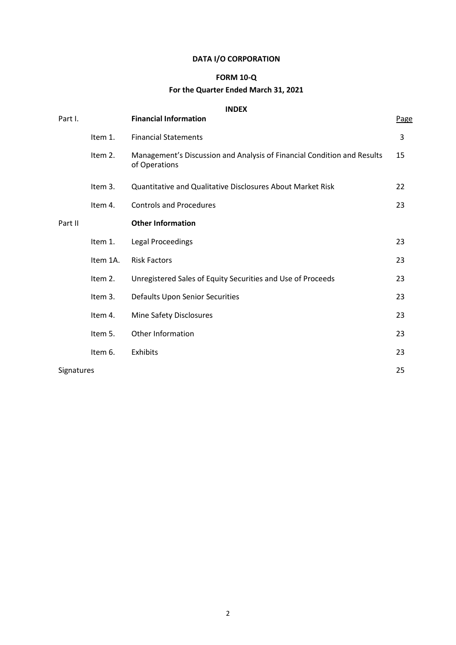## **DATA I/O CORPORATION**

## **FORM 10-Q**

## **For the Quarter Ended March 31, 2021**

## **INDEX**

| Part I.    |          | <b>Financial Information</b>                                                             | Page |
|------------|----------|------------------------------------------------------------------------------------------|------|
|            | Item 1.  | <b>Financial Statements</b>                                                              | 3    |
|            | Item 2.  | Management's Discussion and Analysis of Financial Condition and Results<br>of Operations | 15   |
|            | Item 3.  | Quantitative and Qualitative Disclosures About Market Risk                               | 22   |
|            | Item 4.  | <b>Controls and Procedures</b>                                                           | 23   |
| Part II    |          | <b>Other Information</b>                                                                 |      |
|            | Item 1.  | <b>Legal Proceedings</b>                                                                 | 23   |
|            | Item 1A. | <b>Risk Factors</b>                                                                      | 23   |
|            | Item 2.  | Unregistered Sales of Equity Securities and Use of Proceeds                              | 23   |
|            | Item 3.  | Defaults Upon Senior Securities                                                          | 23   |
|            | Item 4.  | Mine Safety Disclosures                                                                  | 23   |
|            | Item 5.  | Other Information                                                                        | 23   |
|            | Item 6.  | Exhibits                                                                                 | 23   |
| Signatures |          |                                                                                          | 25   |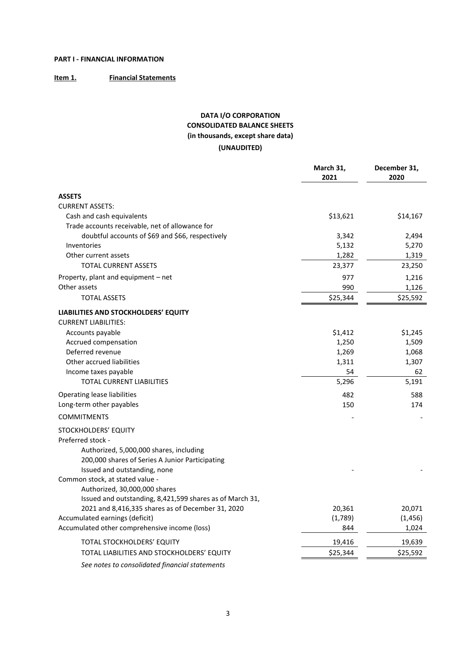## **PART I - FINANCIAL INFORMATION**

## **Item 1. Financial Statements**

## **DATA I/O CORPORATION CONSOLIDATED BALANCE SHEETS (in thousands, except share data) (UNAUDITED)**

|                                                                                                                                                                         | March 31,<br>2021 | December 31,<br>2020 |
|-------------------------------------------------------------------------------------------------------------------------------------------------------------------------|-------------------|----------------------|
| <b>ASSETS</b>                                                                                                                                                           |                   |                      |
| <b>CURRENT ASSETS:</b>                                                                                                                                                  |                   |                      |
| Cash and cash equivalents                                                                                                                                               | \$13,621          | \$14,167             |
| Trade accounts receivable, net of allowance for                                                                                                                         |                   |                      |
| doubtful accounts of \$69 and \$66, respectively                                                                                                                        | 3,342             | 2,494                |
| Inventories                                                                                                                                                             | 5,132             | 5,270                |
| Other current assets                                                                                                                                                    | 1,282             | 1,319                |
| <b>TOTAL CURRENT ASSETS</b>                                                                                                                                             | 23,377            | 23,250               |
| Property, plant and equipment - net                                                                                                                                     | 977               | 1,216                |
| Other assets                                                                                                                                                            | 990               | 1,126                |
| <b>TOTAL ASSETS</b>                                                                                                                                                     | \$25,344          | \$25,592             |
| LIABILITIES AND STOCKHOLDERS' EQUITY<br><b>CURRENT LIABILITIES:</b>                                                                                                     |                   |                      |
| Accounts payable                                                                                                                                                        | \$1,412           | \$1,245              |
| Accrued compensation                                                                                                                                                    | 1,250             | 1,509                |
| Deferred revenue                                                                                                                                                        | 1,269             | 1,068                |
| Other accrued liabilities                                                                                                                                               | 1,311             | 1,307                |
| Income taxes payable                                                                                                                                                    | 54                | 62                   |
| <b>TOTAL CURRENT LIABILITIES</b>                                                                                                                                        | 5,296             | 5,191                |
| Operating lease liabilities                                                                                                                                             | 482               | 588                  |
| Long-term other payables                                                                                                                                                | 150               | 174                  |
| <b>COMMITMENTS</b>                                                                                                                                                      |                   |                      |
| STOCKHOLDERS' EQUITY<br>Preferred stock -<br>Authorized, 5,000,000 shares, including<br>200,000 shares of Series A Junior Participating<br>Issued and outstanding, none |                   |                      |
| Common stock, at stated value -<br>Authorized, 30,000,000 shares<br>Issued and outstanding, 8,421,599 shares as of March 31,                                            |                   |                      |
| 2021 and 8,416,335 shares as of December 31, 2020                                                                                                                       | 20,361            | 20,071               |
| Accumulated earnings (deficit)                                                                                                                                          | (1,789)           | (1, 456)             |
| Accumulated other comprehensive income (loss)                                                                                                                           | 844               | 1,024                |
| TOTAL STOCKHOLDERS' EQUITY                                                                                                                                              | 19,416            | 19,639               |
| TOTAL LIABILITIES AND STOCKHOLDERS' EQUITY                                                                                                                              | \$25,344          | \$25,592             |
|                                                                                                                                                                         |                   |                      |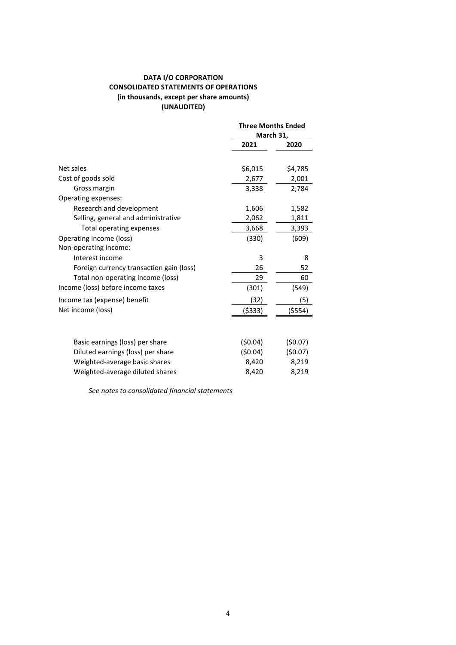## **DATA I/O CORPORATION CONSOLIDATED STATEMENTS OF OPERATIONS (in thousands, except per share amounts) (UNAUDITED)**

|                                          | <b>Three Months Ended</b> |          |
|------------------------------------------|---------------------------|----------|
|                                          | March 31,                 |          |
|                                          | 2021                      | 2020     |
|                                          |                           |          |
| Net sales                                | \$6,015                   | \$4,785  |
| Cost of goods sold                       | 2,677                     | 2,001    |
| Gross margin                             | 3,338                     | 2,784    |
| Operating expenses:                      |                           |          |
| Research and development                 | 1,606                     | 1,582    |
| Selling, general and administrative      | 2,062                     | 1,811    |
| Total operating expenses                 | 3,668                     | 3,393    |
| Operating income (loss)                  | (330)                     | (609)    |
| Non-operating income:                    |                           |          |
| Interest income                          | 3                         | 8        |
| Foreign currency transaction gain (loss) | 26                        | 52       |
| Total non-operating income (loss)        | 29                        | 60       |
| Income (loss) before income taxes        | (301)                     | (549)    |
| Income tax (expense) benefit             | (32)                      | (5)      |
| Net income (loss)                        | (\$333)                   | ( \$554) |
|                                          |                           |          |
| Basic earnings (loss) per share          | (50.04)                   | (50.07)  |
| Diluted earnings (loss) per share        | (50.04)                   | (50.07)  |
| Weighted-average basic shares            | 8,420                     | 8,219    |
| Weighted-average diluted shares          | 8,420                     | 8,219    |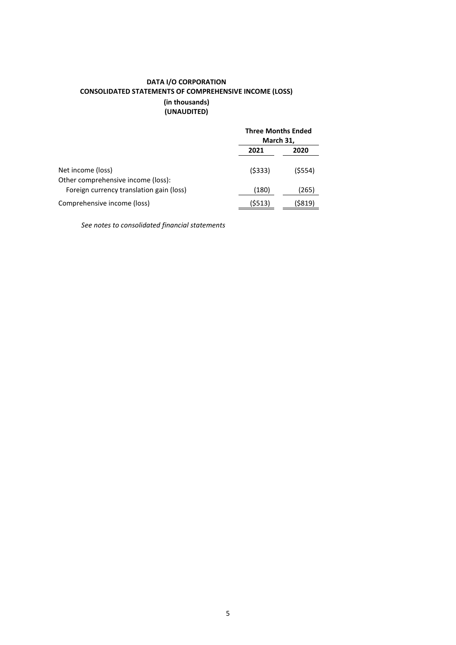## **DATA I/O CORPORATION CONSOLIDATED STATEMENTS OF COMPREHENSIVE INCOME (LOSS) (in thousands) (UNAUDITED)**

|                                                         |        | <b>Three Months Ended</b><br>March 31, |  |
|---------------------------------------------------------|--------|----------------------------------------|--|
|                                                         | 2021   | 2020                                   |  |
| Net income (loss)<br>Other comprehensive income (loss): | (5333) | $($ \$554)                             |  |
| Foreign currency translation gain (loss)                | (180)  | (265)                                  |  |
| Comprehensive income (loss)                             | (5513) | (\$819)                                |  |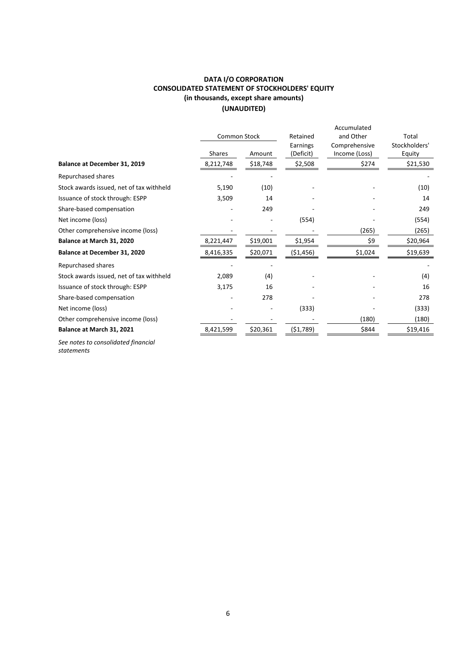## **DATA I/O CORPORATION CONSOLIDATED STATEMENT OF STOCKHOLDERS' EQUITY (in thousands, except share amounts) (UNAUDITED)**

|                                          | <b>Common Stock</b> |          | Retained              | Accumulated<br>and Other       | Total                   |
|------------------------------------------|---------------------|----------|-----------------------|--------------------------------|-------------------------|
|                                          | <b>Shares</b>       | Amount   | Earnings<br>(Deficit) | Comprehensive<br>Income (Loss) | Stockholders'<br>Equity |
| Balance at December 31, 2019             | 8,212,748           | \$18,748 | \$2,508               | \$274                          | \$21,530                |
| Repurchased shares                       |                     |          |                       |                                |                         |
| Stock awards issued, net of tax withheld | 5,190               | (10)     |                       |                                | (10)                    |
| Issuance of stock through: ESPP          | 3,509               | 14       |                       |                                | 14                      |
| Share-based compensation                 |                     | 249      |                       |                                | 249                     |
| Net income (loss)                        |                     |          | (554)                 |                                | (554)                   |
| Other comprehensive income (loss)        |                     |          |                       | (265)                          | (265)                   |
| Balance at March 31, 2020                | 8,221,447           | \$19,001 | \$1,954               | \$9                            | \$20,964                |
| Balance at December 31, 2020             | 8,416,335           | \$20,071 | ( \$1,456)            | \$1,024                        | \$19,639                |
| Repurchased shares                       |                     |          |                       |                                |                         |
| Stock awards issued, net of tax withheld | 2,089               | (4)      |                       |                                | (4)                     |
| Issuance of stock through: ESPP          | 3,175               | 16       |                       |                                | 16                      |
| Share-based compensation                 |                     | 278      |                       |                                | 278                     |
| Net income (loss)                        |                     |          | (333)                 |                                | (333)                   |
| Other comprehensive income (loss)        |                     |          |                       | (180)                          | (180)                   |
| Balance at March 31, 2021                | 8,421,599           | \$20,361 | (51,789)              | \$844                          | \$19,416                |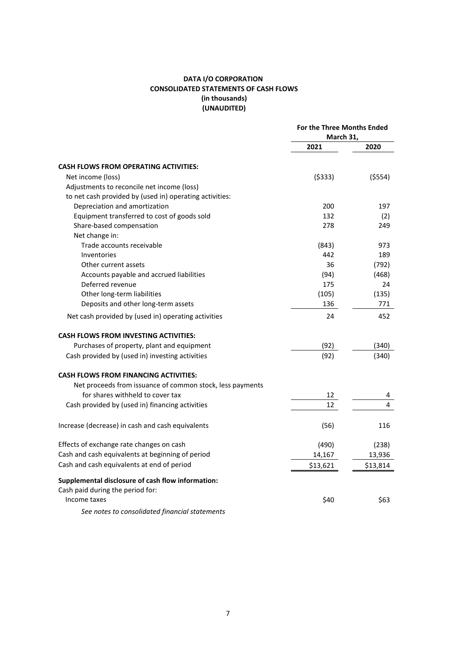## **DATA I/O CORPORATION CONSOLIDATED STATEMENTS OF CASH FLOWS (in thousands) (UNAUDITED)**

|                                                           | For the Three Months Ended<br>March 31, |          |
|-----------------------------------------------------------|-----------------------------------------|----------|
|                                                           | 2021                                    | 2020     |
| <b>CASH FLOWS FROM OPERATING ACTIVITIES:</b>              |                                         |          |
| Net income (loss)                                         | ( \$333)                                | ( \$554) |
| Adjustments to reconcile net income (loss)                |                                         |          |
| to net cash provided by (used in) operating activities:   |                                         |          |
| Depreciation and amortization                             | 200                                     | 197      |
| Equipment transferred to cost of goods sold               | 132                                     | (2)      |
| Share-based compensation                                  | 278                                     | 249      |
| Net change in:                                            |                                         |          |
| Trade accounts receivable                                 | (843)                                   | 973      |
| Inventories                                               | 442                                     | 189      |
| Other current assets                                      | 36                                      | (792)    |
| Accounts payable and accrued liabilities                  | (94)                                    | (468)    |
| Deferred revenue                                          | 175                                     | 24       |
| Other long-term liabilities                               | (105)                                   | (135)    |
| Deposits and other long-term assets                       | 136                                     | 771      |
| Net cash provided by (used in) operating activities       | 24                                      | 452      |
| <b>CASH FLOWS FROM INVESTING ACTIVITIES:</b>              |                                         |          |
| Purchases of property, plant and equipment                | (92)                                    | (340)    |
| Cash provided by (used in) investing activities           | (92)                                    | (340)    |
| <b>CASH FLOWS FROM FINANCING ACTIVITIES:</b>              |                                         |          |
| Net proceeds from issuance of common stock, less payments |                                         |          |
| for shares withheld to cover tax                          | 12                                      | 4        |
| Cash provided by (used in) financing activities           | 12                                      | 4        |
| Increase (decrease) in cash and cash equivalents          | (56)                                    | 116      |
| Effects of exchange rate changes on cash                  | (490)                                   | (238)    |
| Cash and cash equivalents at beginning of period          | 14,167                                  | 13,936   |
| Cash and cash equivalents at end of period                | \$13,621                                | \$13,814 |
| Supplemental disclosure of cash flow information:         |                                         |          |
| Cash paid during the period for:                          |                                         |          |
| Income taxes                                              | \$40                                    | \$63     |
| See notes to consolidated financial statements            |                                         |          |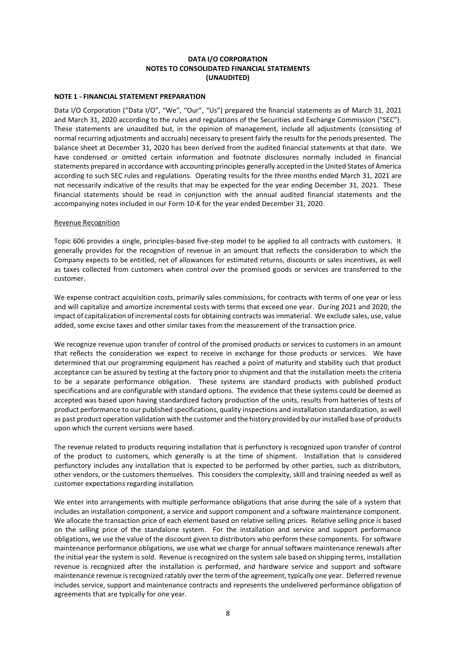## **DATA I/O CORPORATION NOTES TO CONSOLIDATED FINANCIAL STATEMENTS (UNAUDITED)**

## **NOTE 1 - FINANCIAL STATEMENT PREPARATION**

Data I/O Corporation ("Data I/O", "We", "Our", "Us") prepared the financial statements as of March 31, 2021 and March 31, 2020 according to the rules and regulations of the Securities and Exchange Commission ("SEC"). These statements are unaudited but, in the opinion of management, include all adjustments (consisting of normal recurring adjustments and accruals) necessary to present fairly the results for the periods presented. The balance sheet at December 31, 2020 has been derived from the audited financial statements at that date. We have condensed or omitted certain information and footnote disclosures normally included in financial statements prepared in accordance with accounting principles generally accepted in the United States of America according to such SEC rules and regulations. Operating results for the three months ended March 31, 2021 are not necessarily indicative of the results that may be expected for the year ending December 31, 2021. These financial statements should be read in conjunction with the annual audited financial statements and the accompanying notes included in our Form 10-K for the year ended December 31, 2020.

## Revenue Recognition

Topic 606 provides a single, principles-based five-step model to be applied to all contracts with customers. It generally provides for the recognition of revenue in an amount that reflects the consideration to which the Company expects to be entitled, net of allowances for estimated returns, discounts or sales incentives, as well as taxes collected from customers when control over the promised goods or services are transferred to the customer.

We expense contract acquisition costs, primarily sales commissions, for contracts with terms of one year or less and will capitalize and amortize incremental costs with terms that exceed one year. During 2021 and 2020, the impact of capitalization of incremental costs for obtaining contracts was immaterial. We exclude sales, use, value added, some excise taxes and other similar taxes from the measurement of the transaction price.

We recognize revenue upon transfer of control of the promised products or services to customers in an amount that reflects the consideration we expect to receive in exchange for those products or services. We have determined that our programming equipment has reached a point of maturity and stability such that product acceptance can be assured by testing at the factory prior to shipment and that the installation meets the criteria to be a separate performance obligation. These systems are standard products with published product specifications and are configurable with standard options. The evidence that these systems could be deemed as accepted was based upon having standardized factory production of the units, results from batteries of tests of product performance to our published specifications, quality inspections and installation standardization, as well as past product operation validation with the customer and the history provided by our installed base of products upon which the current versions were based.

The revenue related to products requiring installation that is perfunctory is recognized upon transfer of control of the product to customers, which generally is at the time of shipment. Installation that is considered perfunctory includes any installation that is expected to be performed by other parties, such as distributors, other vendors, or the customers themselves. This considers the complexity, skill and training needed as well as customer expectations regarding installation.

We enter into arrangements with multiple performance obligations that arise during the sale of a system that includes an installation component, a service and support component and a software maintenance component. We allocate the transaction price of each element based on relative selling prices. Relative selling price is based on the selling price of the standalone system. For the installation and service and support performance obligations, we use the value of the discount given to distributors who perform these components. For software maintenance performance obligations, we use what we charge for annual software maintenance renewals after the initial year the system is sold. Revenue is recognized on the system sale based on shipping terms, installation revenue is recognized after the installation is performed, and hardware service and support and software maintenance revenue is recognized ratably over the term of the agreement, typically one year. Deferred revenue includes service, support and maintenance contracts and represents the undelivered performance obligation of agreements that are typically for one year.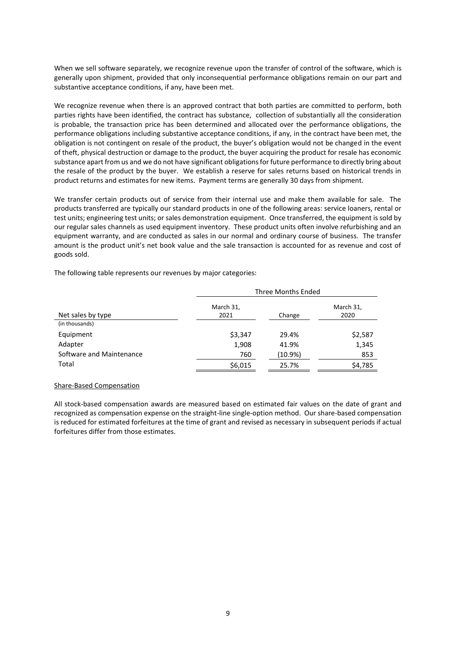When we sell software separately, we recognize revenue upon the transfer of control of the software, which is generally upon shipment, provided that only inconsequential performance obligations remain on our part and substantive acceptance conditions, if any, have been met.

We recognize revenue when there is an approved contract that both parties are committed to perform, both parties rights have been identified, the contract has substance, collection of substantially all the consideration is probable, the transaction price has been determined and allocated over the performance obligations, the performance obligations including substantive acceptance conditions, if any, in the contract have been met, the obligation is not contingent on resale of the product, the buyer's obligation would not be changed in the event of theft, physical destruction or damage to the product, the buyer acquiring the product for resale has economic substance apart from us and we do not have significant obligations for future performance to directly bring about the resale of the product by the buyer. We establish a reserve for sales returns based on historical trends in product returns and estimates for new items. Payment terms are generally 30 days from shipment.

We transfer certain products out of service from their internal use and make them available for sale. The products transferred are typically our standard products in one of the following areas: service loaners, rental or test units; engineering test units; or sales demonstration equipment. Once transferred, the equipment is sold by our regular sales channels as used equipment inventory. These product units often involve refurbishing and an equipment warranty, and are conducted as sales in our normal and ordinary course of business. The transfer amount is the product unit's net book value and the sale transaction is accounted for as revenue and cost of goods sold.

The following table represents our revenues by major categories:

|                          | <b>Three Months Ended</b> |            |                   |
|--------------------------|---------------------------|------------|-------------------|
| Net sales by type        | March 31,<br>2021         | Change     | March 31,<br>2020 |
| (in thousands)           |                           |            |                   |
| Equipment                | \$3,347                   | 29.4%      | \$2,587           |
| Adapter                  | 1,908                     | 41.9%      | 1,345             |
| Software and Maintenance | 760                       | $(10.9\%)$ | 853               |
| Total                    | \$6,015                   | 25.7%      | \$4,785           |

#### Share-Based Compensation

All stock-based compensation awards are measured based on estimated fair values on the date of grant and recognized as compensation expense on the straight-line single-option method. Our share-based compensation is reduced for estimated forfeitures at the time of grant and revised as necessary in subsequent periods if actual forfeitures differ from those estimates.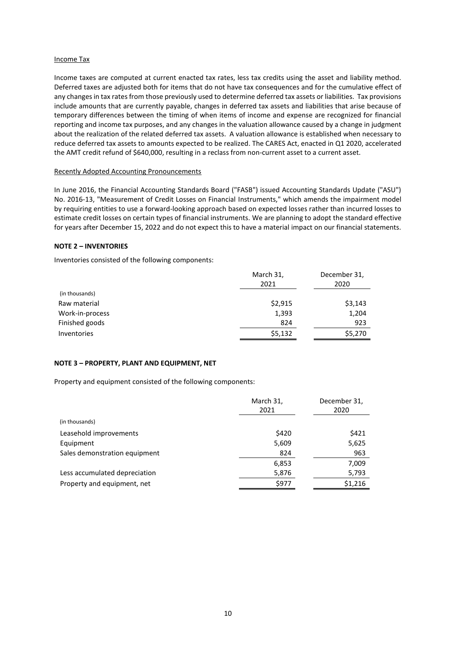### Income Tax

Income taxes are computed at current enacted tax rates, less tax credits using the asset and liability method. Deferred taxes are adjusted both for items that do not have tax consequences and for the cumulative effect of any changes in tax rates from those previously used to determine deferred tax assets or liabilities. Tax provisions include amounts that are currently payable, changes in deferred tax assets and liabilities that arise because of temporary differences between the timing of when items of income and expense are recognized for financial reporting and income tax purposes, and any changes in the valuation allowance caused by a change in judgment about the realization of the related deferred tax assets. A valuation allowance is established when necessary to reduce deferred tax assets to amounts expected to be realized. The CARES Act, enacted in Q1 2020, accelerated the AMT credit refund of \$640,000, resulting in a reclass from non-current asset to a current asset.

#### Recently Adopted Accounting Pronouncements

In June 2016, the Financial Accounting Standards Board ("FASB") issued Accounting Standards Update ("ASU") No. 2016-13, "Measurement of Credit Losses on Financial Instruments," which amends the impairment model by requiring entities to use a forward-looking approach based on expected losses rather than incurred losses to estimate credit losses on certain types of financial instruments. We are planning to adopt the standard effective for years after December 15, 2022 and do not expect this to have a material impact on our financial statements.

### **NOTE 2 – INVENTORIES**

Inventories consisted of the following components:

|                 | March 31,<br>2021 | December 31,<br>2020 |
|-----------------|-------------------|----------------------|
| (in thousands)  |                   |                      |
| Raw material    | \$2,915           | \$3,143              |
| Work-in-process | 1,393             | 1,204                |
| Finished goods  | 824               | 923                  |
| Inventories     | \$5,132           | \$5,270              |

## **NOTE 3 – PROPERTY, PLANT AND EQUIPMENT, NET**

Property and equipment consisted of the following components:

|                               | March 31,<br>2021 | December 31,<br>2020 |
|-------------------------------|-------------------|----------------------|
| (in thousands)                |                   |                      |
| Leasehold improvements        | \$420             | \$421                |
| Equipment                     | 5,609             | 5,625                |
| Sales demonstration equipment | 824               | 963                  |
|                               | 6,853             | 7,009                |
| Less accumulated depreciation | 5,876             | 5,793                |
| Property and equipment, net   | \$977             | \$1,216              |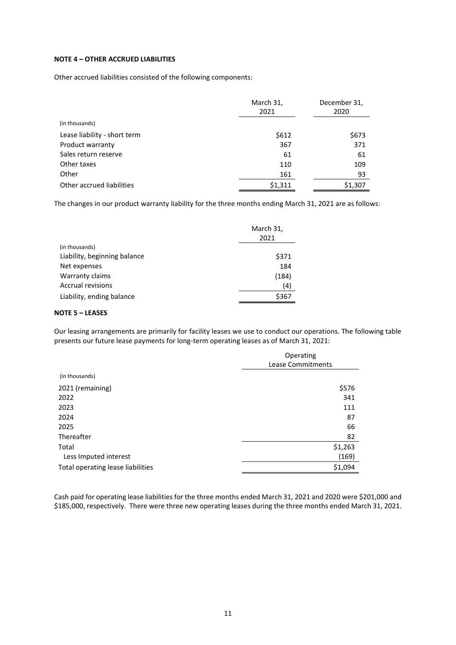## **NOTE 4 – OTHER ACCRUED LIABILITIES**

Other accrued liabilities consisted of the following components:

|                              | March 31,<br>2021 | December 31,<br>2020 |
|------------------------------|-------------------|----------------------|
| (in thousands)               |                   |                      |
| Lease liability - short term | \$612             | \$673                |
| Product warranty             | 367               | 371                  |
| Sales return reserve         | 61                | 61                   |
| Other taxes                  | 110               | 109                  |
| Other                        | 161               | 93                   |
| Other accrued liabilities    | \$1,311           | \$1,307              |

The changes in our product warranty liability for the three months ending March 31, 2021 are as follows:

|                              | March 31,<br>2021 |
|------------------------------|-------------------|
| (in thousands)               |                   |
| Liability, beginning balance | \$371             |
| Net expenses                 | 184               |
| Warranty claims              | (184)             |
| Accrual revisions            | (4)               |
| Liability, ending balance    | \$367             |

## **NOTE 5 – LEASES**

Our leasing arrangements are primarily for facility leases we use to conduct our operations. The following table presents our future lease payments for long-term operating leases as of March 31, 2021:

|                                   | Operating<br>Lease Commitments |
|-----------------------------------|--------------------------------|
| (in thousands)                    |                                |
| 2021 (remaining)                  | \$576                          |
| 2022                              | 341                            |
| 2023                              | 111                            |
| 2024                              | 87                             |
| 2025                              | 66                             |
| Thereafter                        | 82                             |
| Total                             | \$1,263                        |
| Less Imputed interest             | (169)                          |
| Total operating lease liabilities | \$1,094                        |

Cash paid for operating lease liabilities for the three months ended March 31, 2021 and 2020 were \$201,000 and \$185,000, respectively. There were three new operating leases during the three months ended March 31, 2021.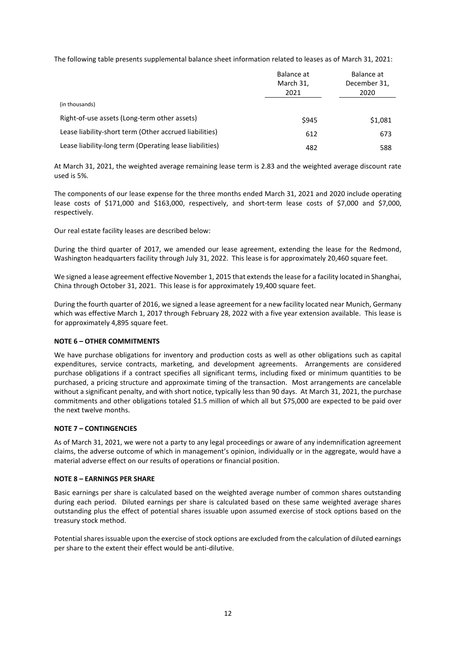The following table presents supplemental balance sheet information related to leases as of March 31, 2021:

|                                                         | Balance at<br>March 31, | Balance at<br>December 31, |
|---------------------------------------------------------|-------------------------|----------------------------|
|                                                         | 2021                    | 2020                       |
| (in thousands)                                          |                         |                            |
| Right-of-use assets (Long-term other assets)            | \$945                   | \$1,081                    |
| Lease liability-short term (Other accrued liabilities)  | 612                     | 673                        |
| Lease liability-long term (Operating lease liabilities) | 482                     | 588                        |

At March 31, 2021, the weighted average remaining lease term is 2.83 and the weighted average discount rate used is 5%.

The components of our lease expense for the three months ended March 31, 2021 and 2020 include operating lease costs of \$171,000 and \$163,000, respectively, and short-term lease costs of \$7,000 and \$7,000, respectively.

Our real estate facility leases are described below:

During the third quarter of 2017, we amended our lease agreement, extending the lease for the Redmond, Washington headquarters facility through July 31, 2022. This lease is for approximately 20,460 square feet.

We signed a lease agreement effective November 1, 2015 that extends the lease for a facility located in Shanghai, China through October 31, 2021. This lease is for approximately 19,400 square feet.

During the fourth quarter of 2016, we signed a lease agreement for a new facility located near Munich, Germany which was effective March 1, 2017 through February 28, 2022 with a five year extension available. This lease is for approximately 4,895 square feet.

## **NOTE 6 – OTHER COMMITMENTS**

We have purchase obligations for inventory and production costs as well as other obligations such as capital expenditures, service contracts, marketing, and development agreements. Arrangements are considered purchase obligations if a contract specifies all significant terms, including fixed or minimum quantities to be purchased, a pricing structure and approximate timing of the transaction. Most arrangements are cancelable without a significant penalty, and with short notice, typically less than 90 days. At March 31, 2021, the purchase commitments and other obligations totaled \$1.5 million of which all but \$75,000 are expected to be paid over the next twelve months.

#### **NOTE 7 – CONTINGENCIES**

As of March 31, 2021, we were not a party to any legal proceedings or aware of any indemnification agreement claims, the adverse outcome of which in management's opinion, individually or in the aggregate, would have a material adverse effect on our results of operations or financial position.

#### **NOTE 8 – EARNINGS PER SHARE**

Basic earnings per share is calculated based on the weighted average number of common shares outstanding during each period. Diluted earnings per share is calculated based on these same weighted average shares outstanding plus the effect of potential shares issuable upon assumed exercise of stock options based on the treasury stock method.

Potential shares issuable upon the exercise of stock options are excluded from the calculation of diluted earnings per share to the extent their effect would be anti-dilutive.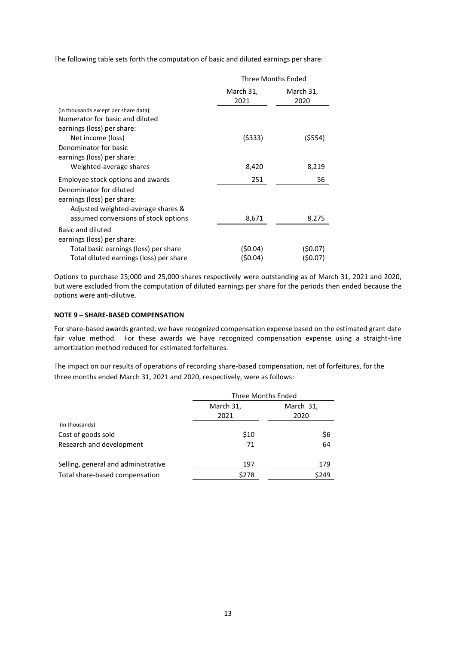The following table sets forth the computation of basic and diluted earnings per share:

|                                         | Three Months Ended |                   |
|-----------------------------------------|--------------------|-------------------|
|                                         | March 31,<br>2021  | March 31,<br>2020 |
| (in thousands except per share data)    |                    |                   |
| Numerator for basic and diluted         |                    |                   |
| earnings (loss) per share:              |                    |                   |
| Net income (loss)                       | (\$333)            | (\$554)           |
| Denominator for basic                   |                    |                   |
| earnings (loss) per share:              |                    |                   |
| Weighted-average shares                 | 8,420              | 8,219             |
| Employee stock options and awards       | 251                | 56                |
| Denominator for diluted                 |                    |                   |
| earnings (loss) per share:              |                    |                   |
| Adjusted weighted-average shares &      |                    |                   |
| assumed conversions of stock options    | 8,671              | 8,275             |
| Basic and diluted                       |                    |                   |
| earnings (loss) per share:              |                    |                   |
| Total basic earnings (loss) per share   | (\$0.04)           | (50.07)           |
| Total diluted earnings (loss) per share | (\$0.04)           | (\$0.07)          |

Options to purchase 25,000 and 25,000 shares respectively were outstanding as of March 31, 2021 and 2020, but were excluded from the computation of diluted earnings per share for the periods then ended because the options were anti-dilutive.

## **NOTE 9 – SHARE-BASED COMPENSATION**

For share-based awards granted, we have recognized compensation expense based on the estimated grant date fair value method. For these awards we have recognized compensation expense using a straight-line amortization method reduced for estimated forfeitures.

The impact on our results of operations of recording share-based compensation, net of forfeitures, for the three months ended March 31, 2021 and 2020, respectively, were as follows:

|                                     | Three Months Ended |                   |  |
|-------------------------------------|--------------------|-------------------|--|
|                                     | March 31,<br>2021  | March 31,<br>2020 |  |
| (in thousands)                      |                    |                   |  |
| Cost of goods sold                  | \$10               | \$6               |  |
| Research and development            | 71                 | 64                |  |
| Selling, general and administrative | 197                | 179               |  |
| Total share-based compensation      | \$278              | \$249             |  |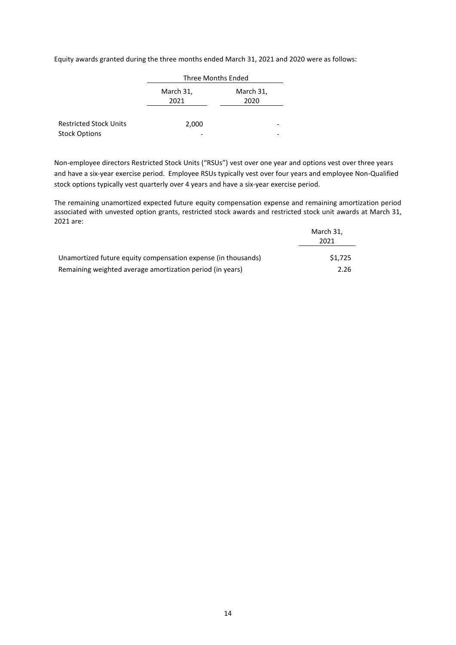Equity awards granted during the three months ended March 31, 2021 and 2020 were as follows:

|                               | Three Months Ended |                   |  |
|-------------------------------|--------------------|-------------------|--|
|                               | March 31,<br>2021  | March 31,<br>2020 |  |
| <b>Restricted Stock Units</b> | 2,000              |                   |  |
| <b>Stock Options</b>          |                    |                   |  |

Non-employee directors Restricted Stock Units ("RSUs") vest over one year and options vest over three years and have a six-year exercise period. Employee RSUs typically vest over four years and employee Non-Qualified stock options typically vest quarterly over 4 years and have a six-year exercise period.

The remaining unamortized expected future equity compensation expense and remaining amortization period associated with unvested option grants, restricted stock awards and restricted stock unit awards at March 31, 2021 are:

|                                                               | March 31,<br>2021 |
|---------------------------------------------------------------|-------------------|
| Unamortized future equity compensation expense (in thousands) | \$1.725           |
| Remaining weighted average amortization period (in years)     | 2.26              |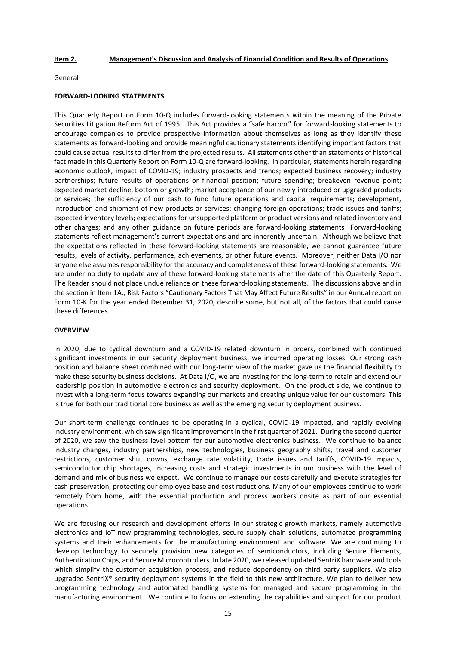### **Item 2. Management's Discussion and Analysis of Financial Condition and Results of Operations**

#### General

#### **FORWARD-LOOKING STATEMENTS**

This Quarterly Report on Form 10-Q includes forward-looking statements within the meaning of the Private Securities Litigation Reform Act of 1995. This Act provides a "safe harbor" for forward-looking statements to encourage companies to provide prospective information about themselves as long as they identify these statements as forward-looking and provide meaningful cautionary statements identifying important factors that could cause actual results to differ from the projected results. All statements other than statements of historical fact made in this Quarterly Report on Form 10-Q are forward-looking. In particular, statements herein regarding economic outlook, impact of COVID-19; industry prospects and trends; expected business recovery; industry partnerships; future results of operations or financial position; future spending; breakeven revenue point; expected market decline, bottom or growth; market acceptance of our newly introduced or upgraded products or services; the sufficiency of our cash to fund future operations and capital requirements; development, introduction and shipment of new products or services; changing foreign operations; trade issues and tariffs; expected inventory levels; expectations for unsupported platform or product versions and related inventory and other charges; and any other guidance on future periods are forward-looking statements Forward-looking statements reflect management's current expectations and are inherently uncertain. Although we believe that the expectations reflected in these forward-looking statements are reasonable, we cannot guarantee future results, levels of activity, performance, achievements, or other future events. Moreover, neither Data I/O nor anyone else assumes responsibility for the accuracy and completeness of these forward-looking statements. We are under no duty to update any of these forward-looking statements after the date of this Quarterly Report. The Reader should not place undue reliance on these forward-looking statements. The discussions above and in the section in Item 1A., Risk Factors "Cautionary Factors That May Affect Future Results" in our Annual report on Form 10-K for the year ended December 31, 2020, describe some, but not all, of the factors that could cause these differences.

#### **OVERVIEW**

In 2020, due to cyclical downturn and a COVID-19 related downturn in orders, combined with continued significant investments in our security deployment business, we incurred operating losses. Our strong cash position and balance sheet combined with our long-term view of the market gave us the financial flexibility to make these security business decisions. At Data I/O, we are investing for the long-term to retain and extend our leadership position in automotive electronics and security deployment. On the product side, we continue to invest with a long-term focus towards expanding our markets and creating unique value for our customers. This is true for both our traditional core business as well as the emerging security deployment business.

Our short-term challenge continues to be operating in a cyclical, COVID-19 impacted, and rapidly evolving industry environment, which saw significant improvement in the first quarter of 2021. During the second quarter of 2020, we saw the business level bottom for our automotive electronics business. We continue to balance industry changes, industry partnerships, new technologies, business geography shifts, travel and customer restrictions, customer shut downs, exchange rate volatility, trade issues and tariffs, COVID-19 impacts, semiconductor chip shortages, increasing costs and strategic investments in our business with the level of demand and mix of business we expect. We continue to manage our costs carefully and execute strategies for cash preservation, protecting our employee base and cost reductions. Many of our employees continue to work remotely from home, with the essential production and process workers onsite as part of our essential operations.

We are focusing our research and development efforts in our strategic growth markets, namely automotive electronics and IoT new programming technologies, secure supply chain solutions, automated programming systems and their enhancements for the manufacturing environment and software. We are continuing to develop technology to securely provision new categories of semiconductors, including Secure Elements, Authentication Chips, and Secure Microcontrollers. In late 2020, we released updated SentriX hardware and tools which simplify the customer acquisition process, and reduce dependency on third party suppliers. We also upgraded SentriX® security deployment systems in the field to this new architecture. We plan to deliver new programming technology and automated handling systems for managed and secure programming in the manufacturing environment. We continue to focus on extending the capabilities and support for our product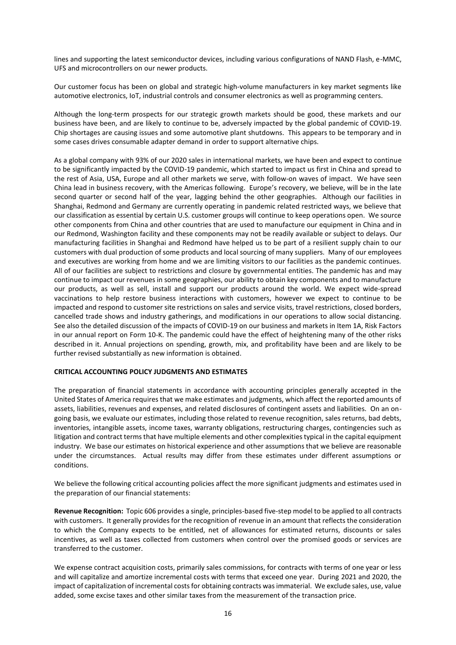lines and supporting the latest semiconductor devices, including various configurations of NAND Flash, e-MMC, UFS and microcontrollers on our newer products.

Our customer focus has been on global and strategic high-volume manufacturers in key market segments like automotive electronics, IoT, industrial controls and consumer electronics as well as programming centers.

Although the long-term prospects for our strategic growth markets should be good, these markets and our business have been, and are likely to continue to be, adversely impacted by the global pandemic of COVID-19. Chip shortages are causing issues and some automotive plant shutdowns. This appears to be temporary and in some cases drives consumable adapter demand in order to support alternative chips.

As a global company with 93% of our 2020 sales in international markets, we have been and expect to continue to be significantly impacted by the COVID-19 pandemic, which started to impact us first in China and spread to the rest of Asia, USA, Europe and all other markets we serve, with follow-on waves of impact. We have seen China lead in business recovery, with the Americas following. Europe's recovery, we believe, will be in the late second quarter or second half of the year, lagging behind the other geographies. Although our facilities in Shanghai, Redmond and Germany are currently operating in pandemic related restricted ways, we believe that our classification as essential by certain U.S. customer groups will continue to keep operations open. We source other components from China and other countries that are used to manufacture our equipment in China and in our Redmond, Washington facility and these components may not be readily available or subject to delays. Our manufacturing facilities in Shanghai and Redmond have helped us to be part of a resilient supply chain to our customers with dual production of some products and local sourcing of many suppliers. Many of our employees and executives are working from home and we are limiting visitors to our facilities as the pandemic continues. All of our facilities are subject to restrictions and closure by governmental entities. The pandemic has and may continue to impact our revenues in some geographies, our ability to obtain key components and to manufacture our products, as well as sell, install and support our products around the world. We expect wide-spread vaccinations to help restore business interactions with customers, however we expect to continue to be impacted and respond to customer site restrictions on sales and service visits, travel restrictions, closed borders, cancelled trade shows and industry gatherings, and modifications in our operations to allow social distancing. See also the detailed discussion of the impacts of COVID-19 on our business and markets in Item 1A, Risk Factors in our annual report on Form 10-K. The pandemic could have the effect of heightening many of the other risks described in it. Annual projections on spending, growth, mix, and profitability have been and are likely to be further revised substantially as new information is obtained.

## **CRITICAL ACCOUNTING POLICY JUDGMENTS AND ESTIMATES**

The preparation of financial statements in accordance with accounting principles generally accepted in the United States of America requires that we make estimates and judgments, which affect the reported amounts of assets, liabilities, revenues and expenses, and related disclosures of contingent assets and liabilities. On an ongoing basis, we evaluate our estimates, including those related to revenue recognition, sales returns, bad debts, inventories, intangible assets, income taxes, warranty obligations, restructuring charges, contingencies such as litigation and contract terms that have multiple elements and other complexities typical in the capital equipment industry. We base our estimates on historical experience and other assumptions that we believe are reasonable under the circumstances. Actual results may differ from these estimates under different assumptions or conditions.

We believe the following critical accounting policies affect the more significant judgments and estimates used in the preparation of our financial statements:

**Revenue Recognition:** Topic 606 provides a single, principles-based five-step model to be applied to all contracts with customers. It generally provides for the recognition of revenue in an amount that reflects the consideration to which the Company expects to be entitled, net of allowances for estimated returns, discounts or sales incentives, as well as taxes collected from customers when control over the promised goods or services are transferred to the customer.

We expense contract acquisition costs, primarily sales commissions, for contracts with terms of one year or less and will capitalize and amortize incremental costs with terms that exceed one year. During 2021 and 2020, the impact of capitalization of incremental costs for obtaining contracts was immaterial. We exclude sales, use, value added, some excise taxes and other similar taxes from the measurement of the transaction price.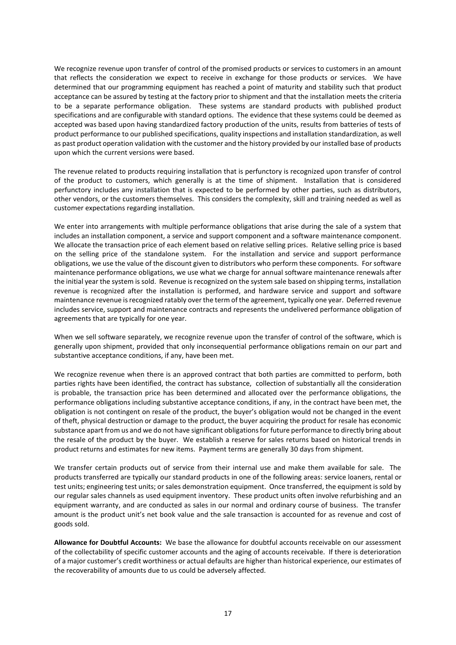We recognize revenue upon transfer of control of the promised products or services to customers in an amount that reflects the consideration we expect to receive in exchange for those products or services. We have determined that our programming equipment has reached a point of maturity and stability such that product acceptance can be assured by testing at the factory prior to shipment and that the installation meets the criteria to be a separate performance obligation. These systems are standard products with published product specifications and are configurable with standard options. The evidence that these systems could be deemed as accepted was based upon having standardized factory production of the units, results from batteries of tests of product performance to our published specifications, quality inspections and installation standardization, as well as past product operation validation with the customer and the history provided by our installed base of products upon which the current versions were based.

The revenue related to products requiring installation that is perfunctory is recognized upon transfer of control of the product to customers, which generally is at the time of shipment. Installation that is considered perfunctory includes any installation that is expected to be performed by other parties, such as distributors, other vendors, or the customers themselves. This considers the complexity, skill and training needed as well as customer expectations regarding installation.

We enter into arrangements with multiple performance obligations that arise during the sale of a system that includes an installation component, a service and support component and a software maintenance component. We allocate the transaction price of each element based on relative selling prices. Relative selling price is based on the selling price of the standalone system. For the installation and service and support performance obligations, we use the value of the discount given to distributors who perform these components. For software maintenance performance obligations, we use what we charge for annual software maintenance renewals after the initial year the system is sold. Revenue is recognized on the system sale based on shipping terms, installation revenue is recognized after the installation is performed, and hardware service and support and software maintenance revenue is recognized ratably over the term of the agreement, typically one year. Deferred revenue includes service, support and maintenance contracts and represents the undelivered performance obligation of agreements that are typically for one year.

When we sell software separately, we recognize revenue upon the transfer of control of the software, which is generally upon shipment, provided that only inconsequential performance obligations remain on our part and substantive acceptance conditions, if any, have been met.

We recognize revenue when there is an approved contract that both parties are committed to perform, both parties rights have been identified, the contract has substance, collection of substantially all the consideration is probable, the transaction price has been determined and allocated over the performance obligations, the performance obligations including substantive acceptance conditions, if any, in the contract have been met, the obligation is not contingent on resale of the product, the buyer's obligation would not be changed in the event of theft, physical destruction or damage to the product, the buyer acquiring the product for resale has economic substance apart from us and we do not have significant obligations for future performance to directly bring about the resale of the product by the buyer. We establish a reserve for sales returns based on historical trends in product returns and estimates for new items. Payment terms are generally 30 days from shipment.

We transfer certain products out of service from their internal use and make them available for sale. The products transferred are typically our standard products in one of the following areas: service loaners, rental or test units; engineering test units; or sales demonstration equipment. Once transferred, the equipment is sold by our regular sales channels as used equipment inventory. These product units often involve refurbishing and an equipment warranty, and are conducted as sales in our normal and ordinary course of business. The transfer amount is the product unit's net book value and the sale transaction is accounted for as revenue and cost of goods sold.

**Allowance for Doubtful Accounts:** We base the allowance for doubtful accounts receivable on our assessment of the collectability of specific customer accounts and the aging of accounts receivable. If there is deterioration of a major customer's credit worthiness or actual defaults are higher than historical experience, our estimates of the recoverability of amounts due to us could be adversely affected.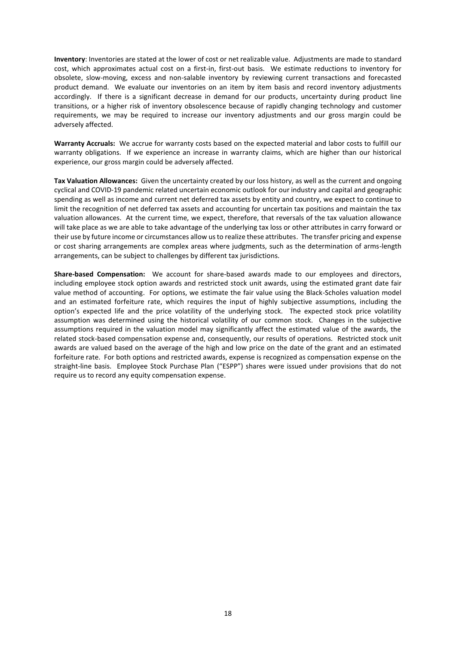**Inventory**: Inventories are stated at the lower of cost or net realizable value. Adjustments are made to standard cost, which approximates actual cost on a first-in, first-out basis. We estimate reductions to inventory for obsolete, slow-moving, excess and non-salable inventory by reviewing current transactions and forecasted product demand. We evaluate our inventories on an item by item basis and record inventory adjustments accordingly. If there is a significant decrease in demand for our products, uncertainty during product line transitions, or a higher risk of inventory obsolescence because of rapidly changing technology and customer requirements, we may be required to increase our inventory adjustments and our gross margin could be adversely affected.

**Warranty Accruals:** We accrue for warranty costs based on the expected material and labor costs to fulfill our warranty obligations. If we experience an increase in warranty claims, which are higher than our historical experience, our gross margin could be adversely affected.

**Tax Valuation Allowances:** Given the uncertainty created by our loss history, as well as the current and ongoing cyclical and COVID-19 pandemic related uncertain economic outlook for our industry and capital and geographic spending as well as income and current net deferred tax assets by entity and country, we expect to continue to limit the recognition of net deferred tax assets and accounting for uncertain tax positions and maintain the tax valuation allowances. At the current time, we expect, therefore, that reversals of the tax valuation allowance will take place as we are able to take advantage of the underlying tax loss or other attributes in carry forward or their use by future income or circumstances allow us to realize these attributes. The transfer pricing and expense or cost sharing arrangements are complex areas where judgments, such as the determination of arms-length arrangements, can be subject to challenges by different tax jurisdictions.

**Share-based Compensation:** We account for share-based awards made to our employees and directors, including employee stock option awards and restricted stock unit awards, using the estimated grant date fair value method of accounting. For options, we estimate the fair value using the Black-Scholes valuation model and an estimated forfeiture rate, which requires the input of highly subjective assumptions, including the option's expected life and the price volatility of the underlying stock. The expected stock price volatility assumption was determined using the historical volatility of our common stock. Changes in the subjective assumptions required in the valuation model may significantly affect the estimated value of the awards, the related stock-based compensation expense and, consequently, our results of operations. Restricted stock unit awards are valued based on the average of the high and low price on the date of the grant and an estimated forfeiture rate. For both options and restricted awards, expense is recognized as compensation expense on the straight-line basis. Employee Stock Purchase Plan ("ESPP") shares were issued under provisions that do not require us to record any equity compensation expense.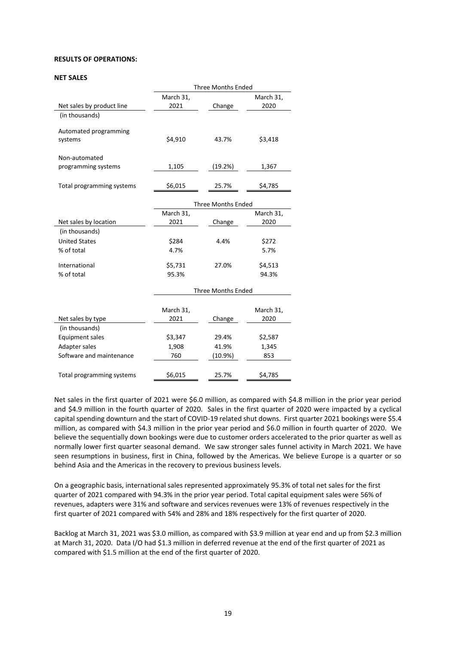## **RESULTS OF OPERATIONS:**

#### **NET SALES**

|                           | <b>Three Months Ended</b> |                           |           |  |
|---------------------------|---------------------------|---------------------------|-----------|--|
|                           | March 31,                 |                           | March 31, |  |
| Net sales by product line | 2021                      | Change                    | 2020      |  |
| (in thousands)            |                           |                           |           |  |
| Automated programming     |                           |                           |           |  |
| systems                   | \$4,910                   | 43.7%                     | \$3,418   |  |
| Non-automated             |                           |                           |           |  |
| programming systems       | 1,105                     | (19.2%)                   | 1,367     |  |
|                           |                           |                           |           |  |
| Total programming systems | \$6,015                   | 25.7%                     | \$4,785   |  |
|                           |                           | <b>Three Months Ended</b> |           |  |
|                           | March 31,                 |                           | March 31, |  |
| Net sales by location     | 2021                      | Change                    | 2020      |  |
| (in thousands)            |                           |                           |           |  |
| <b>United States</b>      | \$284                     | 4.4%                      | \$272     |  |
| % of total                | 4.7%                      |                           | 5.7%      |  |
| International             | \$5,731                   | 27.0%                     | \$4,513   |  |
| % of total                | 95.3%                     |                           | 94.3%     |  |
|                           |                           | <b>Three Months Ended</b> |           |  |
|                           |                           |                           |           |  |
|                           | March 31,                 |                           | March 31, |  |
| Net sales by type         | 2021                      | Change                    | 2020      |  |
| (in thousands)            |                           |                           |           |  |
| <b>Equipment sales</b>    | \$3,347                   | 29.4%                     | \$2,587   |  |
| Adapter sales             | 1,908                     | 41.9%                     | 1,345     |  |
| Software and maintenance  | 760                       | $(10.9\%)$                | 853       |  |
|                           |                           |                           |           |  |
| Total programming systems | \$6,015                   | 25.7%                     | \$4,785   |  |

Net sales in the first quarter of 2021 were \$6.0 million, as compared with \$4.8 million in the prior year period and \$4.9 million in the fourth quarter of 2020. Sales in the first quarter of 2020 were impacted by a cyclical capital spending downturn and the start of COVID-19 related shut downs. First quarter 2021 bookings were \$5.4 million, as compared with \$4.3 million in the prior year period and \$6.0 million in fourth quarter of 2020. We believe the sequentially down bookings were due to customer orders accelerated to the prior quarter as well as normally lower first quarter seasonal demand. We saw stronger sales funnel activity in March 2021. We have seen resumptions in business, first in China, followed by the Americas. We believe Europe is a quarter or so behind Asia and the Americas in the recovery to previous business levels.

On a geographic basis, international sales represented approximately 95.3% of total net sales for the first quarter of 2021 compared with 94.3% in the prior year period. Total capital equipment sales were 56% of revenues, adapters were 31% and software and services revenues were 13% of revenues respectively in the first quarter of 2021 compared with 54% and 28% and 18% respectively for the first quarter of 2020.

Backlog at March 31, 2021 was \$3.0 million, as compared with \$3.9 million at year end and up from \$2.3 million at March 31, 2020. Data I/O had \$1.3 million in deferred revenue at the end of the first quarter of 2021 as compared with \$1.5 million at the end of the first quarter of 2020.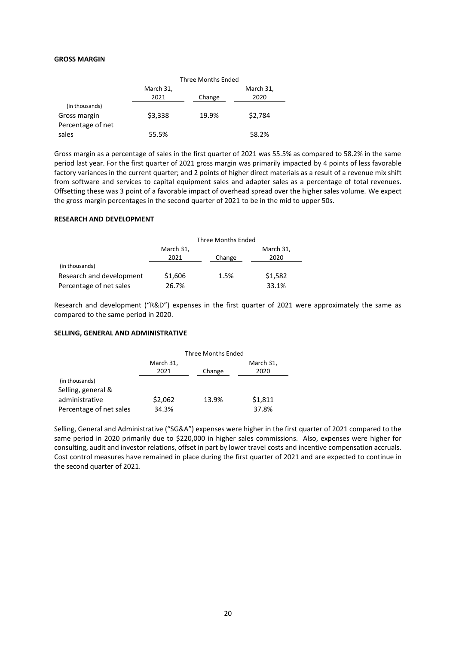#### **GROSS MARGIN**

|                   | Three Months Ended |        |           |
|-------------------|--------------------|--------|-----------|
|                   | March 31,          |        | March 31, |
|                   | 2021               | Change | 2020      |
| (in thousands)    |                    |        |           |
| Gross margin      | \$3,338            | 19.9%  | \$2,784   |
| Percentage of net |                    |        |           |
| sales             | 55.5%              |        | 58.2%     |

Gross margin as a percentage of sales in the first quarter of 2021 was 55.5% as compared to 58.2% in the same period last year. For the first quarter of 2021 gross margin was primarily impacted by 4 points of less favorable factory variances in the current quarter; and 2 points of higher direct materials as a result of a revenue mix shift from software and services to capital equipment sales and adapter sales as a percentage of total revenues. Offsetting these was 3 point of a favorable impact of overhead spread over the higher sales volume. We expect the gross margin percentages in the second quarter of 2021 to be in the mid to upper 50s.

#### **RESEARCH AND DEVELOPMENT**

|                          | Three Months Ended |        |           |
|--------------------------|--------------------|--------|-----------|
|                          | March 31,          |        | March 31, |
|                          | 2021               | Change | 2020      |
| (in thousands)           |                    |        |           |
| Research and development | \$1,606            | 1.5%   | \$1,582   |
| Percentage of net sales  | 26.7%              |        | 33.1%     |

Research and development ("R&D") expenses in the first quarter of 2021 were approximately the same as compared to the same period in 2020.

#### **SELLING, GENERAL AND ADMINISTRATIVE**

|                         | Three Months Ended |        |                   |
|-------------------------|--------------------|--------|-------------------|
|                         | March 31,<br>2021  | Change | March 31,<br>2020 |
| (in thousands)          |                    |        |                   |
| Selling, general &      |                    |        |                   |
| administrative          | \$2,062            | 13.9%  | \$1,811           |
| Percentage of net sales | 34.3%              |        | 37.8%             |

Selling, General and Administrative ("SG&A") expenses were higher in the first quarter of 2021 compared to the same period in 2020 primarily due to \$220,000 in higher sales commissions. Also, expenses were higher for consulting, audit and investor relations, offset in part by lower travel costs and incentive compensation accruals. Cost control measures have remained in place during the first quarter of 2021 and are expected to continue in the second quarter of 2021.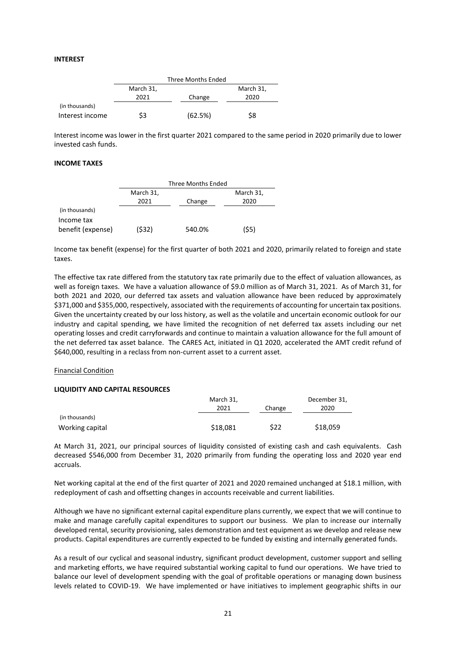#### **INTEREST**

|                 | Three Months Ended |         |           |
|-----------------|--------------------|---------|-----------|
|                 | March 31,          |         | March 31, |
|                 | 2021               | Change  | 2020      |
| (in thousands)  |                    |         |           |
| Interest income | \$3                | (62.5%) | \$8       |

Interest income was lower in the first quarter 2021 compared to the same period in 2020 primarily due to lower invested cash funds.

## **INCOME TAXES**

|                   | Three Months Ended |        |           |
|-------------------|--------------------|--------|-----------|
|                   | March 31,          |        | March 31, |
|                   | 2021               | Change | 2020      |
| (in thousands)    |                    |        |           |
| Income tax        |                    |        |           |
| benefit (expense) | (\$32)             | 540.0% | (\$5)     |

Income tax benefit (expense) for the first quarter of both 2021 and 2020, primarily related to foreign and state taxes.

The effective tax rate differed from the statutory tax rate primarily due to the effect of valuation allowances, as well as foreign taxes. We have a valuation allowance of \$9.0 million as of March 31, 2021. As of March 31, for both 2021 and 2020, our deferred tax assets and valuation allowance have been reduced by approximately \$371,000 and \$355,000, respectively, associated with the requirements of accounting for uncertain tax positions. Given the uncertainty created by our loss history, as well as the volatile and uncertain economic outlook for our industry and capital spending, we have limited the recognition of net deferred tax assets including our net operating losses and credit carryforwards and continue to maintain a valuation allowance for the full amount of the net deferred tax asset balance. The CARES Act, initiated in Q1 2020, accelerated the AMT credit refund of \$640,000, resulting in a reclass from non-current asset to a current asset.

#### Financial Condition

#### **LIQUIDITY AND CAPITAL RESOURCES**

|                 | March 31, |        | December 31, |
|-----------------|-----------|--------|--------------|
|                 | 2021      | Change | 2020         |
| (in thousands)  |           |        |              |
| Working capital | \$18,081  | \$22   | \$18,059     |

At March 31, 2021, our principal sources of liquidity consisted of existing cash and cash equivalents. Cash decreased \$546,000 from December 31, 2020 primarily from funding the operating loss and 2020 year end accruals.

Net working capital at the end of the first quarter of 2021 and 2020 remained unchanged at \$18.1 million, with redeployment of cash and offsetting changes in accounts receivable and current liabilities.

Although we have no significant external capital expenditure plans currently, we expect that we will continue to make and manage carefully capital expenditures to support our business. We plan to increase our internally developed rental, security provisioning, sales demonstration and test equipment as we develop and release new products. Capital expenditures are currently expected to be funded by existing and internally generated funds.

As a result of our cyclical and seasonal industry, significant product development, customer support and selling and marketing efforts, we have required substantial working capital to fund our operations. We have tried to balance our level of development spending with the goal of profitable operations or managing down business levels related to COVID-19. We have implemented or have initiatives to implement geographic shifts in our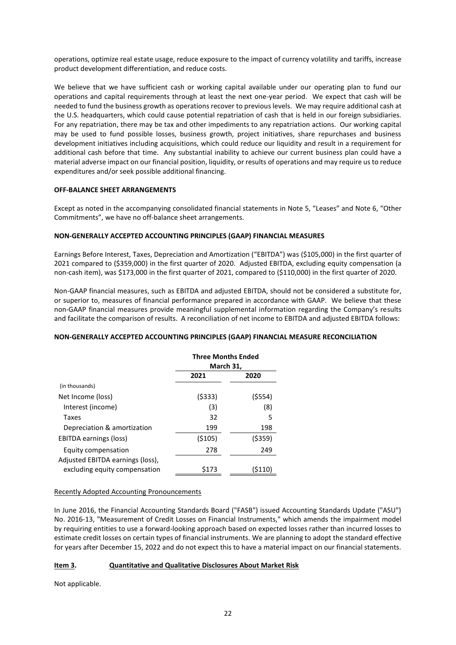operations, optimize real estate usage, reduce exposure to the impact of currency volatility and tariffs, increase product development differentiation, and reduce costs.

We believe that we have sufficient cash or working capital available under our operating plan to fund our operations and capital requirements through at least the next one-year period. We expect that cash will be needed to fund the business growth as operations recover to previous levels. We may require additional cash at the U.S. headquarters, which could cause potential repatriation of cash that is held in our foreign subsidiaries. For any repatriation, there may be tax and other impediments to any repatriation actions. Our working capital may be used to fund possible losses, business growth, project initiatives, share repurchases and business development initiatives including acquisitions, which could reduce our liquidity and result in a requirement for additional cash before that time. Any substantial inability to achieve our current business plan could have a material adverse impact on our financial position, liquidity, or results of operations and may require us to reduce expenditures and/or seek possible additional financing.

## **OFF-BALANCE SHEET ARRANGEMENTS**

Except as noted in the accompanying consolidated financial statements in Note 5, "Leases" and Note 6, "Other Commitments", we have no off-balance sheet arrangements.

## **NON-GENERALLY ACCEPTED ACCOUNTING PRINCIPLES (GAAP) FINANCIAL MEASURES**

Earnings Before Interest, Taxes, Depreciation and Amortization ("EBITDA") was (\$105,000) in the first quarter of 2021 compared to (\$359,000) in the first quarter of 2020. Adjusted EBITDA, excluding equity compensation (a non-cash item), was \$173,000 in the first quarter of 2021, compared to (\$110,000) in the first quarter of 2020.

Non-GAAP financial measures, such as EBITDA and adjusted EBITDA, should not be considered a substitute for, or superior to, measures of financial performance prepared in accordance with GAAP. We believe that these non-GAAP financial measures provide meaningful supplemental information regarding the Company's results and facilitate the comparison of results. A reconciliation of net income to EBITDA and adjusted EBITDA follows:

## **NON-GENERALLY ACCEPTED ACCOUNTING PRINCIPLES (GAAP) FINANCIAL MEASURE RECONCILIATION**

|                                  | <b>Three Months Ended</b><br>March 31, |         |
|----------------------------------|----------------------------------------|---------|
|                                  | 2021                                   | 2020    |
| (in thousands)                   |                                        |         |
| Net Income (loss)                | (5333)                                 | (\$554) |
| Interest (income)                | (3)                                    | (8)     |
| Taxes                            | 32                                     | 5       |
| Depreciation & amortization      | 199                                    | 198     |
| EBITDA earnings (loss)           | ( \$105)                               | (\$359) |
| Equity compensation              | 278                                    | 249     |
| Adjusted EBITDA earnings (loss), |                                        |         |
| excluding equity compensation    | \$173                                  | (S110   |

## Recently Adopted Accounting Pronouncements

In June 2016, the Financial Accounting Standards Board ("FASB") issued Accounting Standards Update ("ASU") No. 2016-13, "Measurement of Credit Losses on Financial Instruments," which amends the impairment model by requiring entities to use a forward-looking approach based on expected losses rather than incurred losses to estimate credit losses on certain types of financial instruments. We are planning to adopt the standard effective for years after December 15, 2022 and do not expect this to have a material impact on our financial statements.

## **Item 3. Quantitative and Qualitative Disclosures About Market Risk**

Not applicable.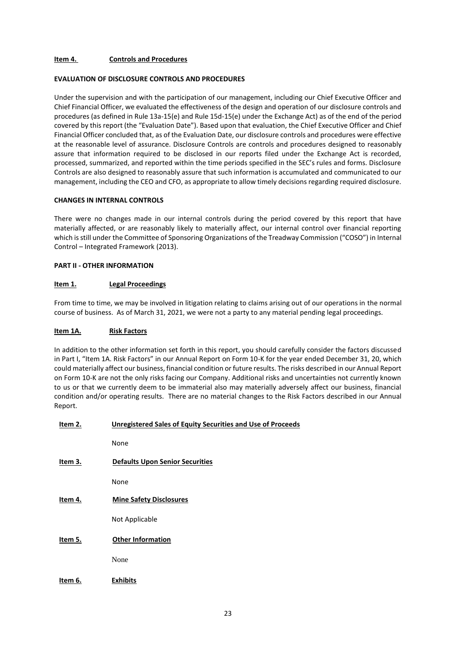## **Item 4. Controls and Procedures**

### **EVALUATION OF DISCLOSURE CONTROLS AND PROCEDURES**

Under the supervision and with the participation of our management, including our Chief Executive Officer and Chief Financial Officer, we evaluated the effectiveness of the design and operation of our disclosure controls and procedures (as defined in Rule 13a-15(e) and Rule 15d-15(e) under the Exchange Act) as of the end of the period covered by this report (the "Evaluation Date"). Based upon that evaluation, the Chief Executive Officer and Chief Financial Officer concluded that, as of the Evaluation Date, our disclosure controls and procedures were effective at the reasonable level of assurance. Disclosure Controls are controls and procedures designed to reasonably assure that information required to be disclosed in our reports filed under the Exchange Act is recorded, processed, summarized, and reported within the time periods specified in the SEC's rules and forms. Disclosure Controls are also designed to reasonably assure that such information is accumulated and communicated to our management, including the CEO and CFO, as appropriate to allow timely decisions regarding required disclosure.

## **CHANGES IN INTERNAL CONTROLS**

There were no changes made in our internal controls during the period covered by this report that have materially affected, or are reasonably likely to materially affect, our internal control over financial reporting which is still under the Committee of Sponsoring Organizations of the Treadway Commission ("COSO") in Internal Control – Integrated Framework (2013).

#### **PART II - OTHER INFORMATION**

#### **Item 1. Legal Proceedings**

From time to time, we may be involved in litigation relating to claims arising out of our operations in the normal course of business. As of March 31, 2021, we were not a party to any material pending legal proceedings.

#### **Item 1A. Risk Factors**

In addition to the other information set forth in this report, you should carefully consider the factors discussed in Part I, "Item 1A. Risk Factors" in our Annual Report on Form 10-K for the year ended December 31, 20, which could materially affect our business, financial condition or future results. The risks described in our Annual Report on Form 10-K are not the only risks facing our Company. Additional risks and uncertainties not currently known to us or that we currently deem to be immaterial also may materially adversely affect our business, financial condition and/or operating results. There are no material changes to the Risk Factors described in our Annual Report.

| Item 2. | <b>Unregistered Sales of Equity Securities and Use of Proceeds</b> |
|---------|--------------------------------------------------------------------|
|         | None                                                               |
| Item 3. | <b>Defaults Upon Senior Securities</b>                             |
|         | None                                                               |
| Item 4. | <b>Mine Safety Disclosures</b>                                     |
|         | Not Applicable                                                     |
| Item 5. | <b>Other Information</b>                                           |
|         | None                                                               |
| Item 6. | <b>Exhibits</b>                                                    |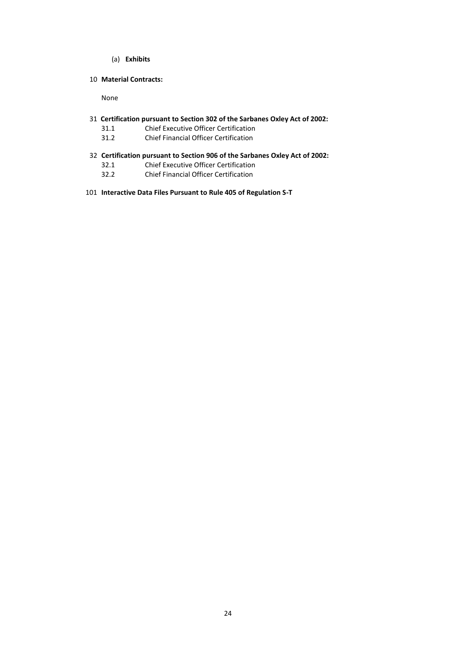- (a) **Exhibits**
- 10 **Material Contracts:**

None

- 31 **Certification pursuant to Section 302 of the Sarbanes Oxley Act of 2002:**
	- 31.1 Chief Executive Officer Certification
	- 31.2 Chief Financial Officer Certification
- 32 **Certification pursuant to Section 906 of the Sarbanes Oxley Act of 2002:**
	- 32.1 Chief Executive Officer Certification
	- 32.2 Chief Financial Officer Certification
- 101 **Interactive Data Files Pursuant to Rule 405 of Regulation S-T**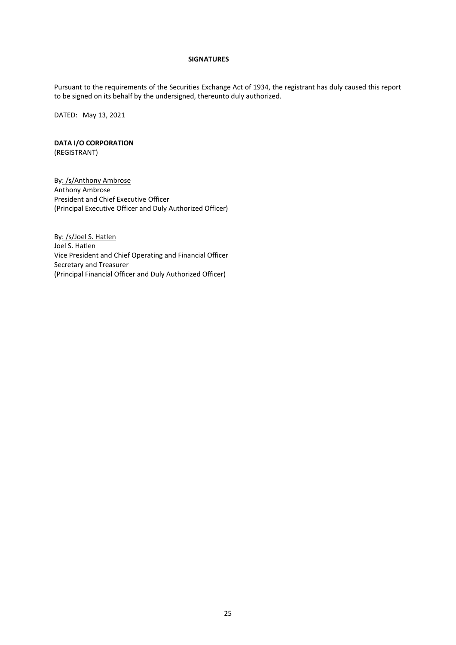### **SIGNATURES**

Pursuant to the requirements of the Securities Exchange Act of 1934, the registrant has duly caused this report to be signed on its behalf by the undersigned, thereunto duly authorized.

DATED: May 13, 2021

# **DATA I/O CORPORATION**

(REGISTRANT)

By: /s/Anthony Ambrose Anthony Ambrose President and Chief Executive Officer (Principal Executive Officer and Duly Authorized Officer)

By: /s/Joel S. Hatlen Joel S. Hatlen Vice President and Chief Operating and Financial Officer Secretary and Treasurer (Principal Financial Officer and Duly Authorized Officer)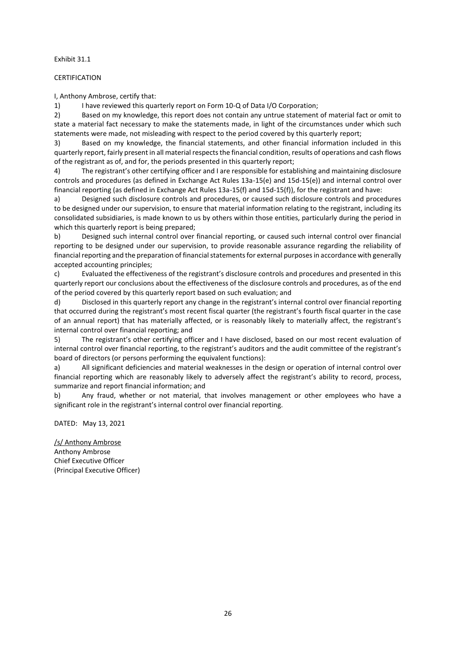Exhibit 31.1

## CERTIFICATION

I, Anthony Ambrose, certify that:

1) I have reviewed this quarterly report on Form 10-Q of Data I/O Corporation;

2) Based on my knowledge, this report does not contain any untrue statement of material fact or omit to state a material fact necessary to make the statements made, in light of the circumstances under which such statements were made, not misleading with respect to the period covered by this quarterly report;

3) Based on my knowledge, the financial statements, and other financial information included in this quarterly report, fairly present in all material respects the financial condition, results of operations and cash flows of the registrant as of, and for, the periods presented in this quarterly report;

4) The registrant's other certifying officer and I are responsible for establishing and maintaining disclosure controls and procedures (as defined in Exchange Act Rules 13a-15(e) and 15d-15(e)) and internal control over financial reporting (as defined in Exchange Act Rules 13a-15(f) and 15d-15(f)), for the registrant and have:

a) Designed such disclosure controls and procedures, or caused such disclosure controls and procedures to be designed under our supervision, to ensure that material information relating to the registrant, including its consolidated subsidiaries, is made known to us by others within those entities, particularly during the period in which this quarterly report is being prepared;

b) Designed such internal control over financial reporting, or caused such internal control over financial reporting to be designed under our supervision, to provide reasonable assurance regarding the reliability of financial reporting and the preparation of financial statements for external purposes in accordance with generally accepted accounting principles;

c) Evaluated the effectiveness of the registrant's disclosure controls and procedures and presented in this quarterly report our conclusions about the effectiveness of the disclosure controls and procedures, as of the end of the period covered by this quarterly report based on such evaluation; and

d) Disclosed in this quarterly report any change in the registrant's internal control over financial reporting that occurred during the registrant's most recent fiscal quarter (the registrant's fourth fiscal quarter in the case of an annual report) that has materially affected, or is reasonably likely to materially affect, the registrant's internal control over financial reporting; and

5) The registrant's other certifying officer and I have disclosed, based on our most recent evaluation of internal control over financial reporting, to the registrant's auditors and the audit committee of the registrant's board of directors (or persons performing the equivalent functions):

a) All significant deficiencies and material weaknesses in the design or operation of internal control over financial reporting which are reasonably likely to adversely affect the registrant's ability to record, process, summarize and report financial information; and

b) Any fraud, whether or not material, that involves management or other employees who have a significant role in the registrant's internal control over financial reporting.

DATED: May 13, 2021

/s/ Anthony Ambrose Anthony Ambrose Chief Executive Officer (Principal Executive Officer)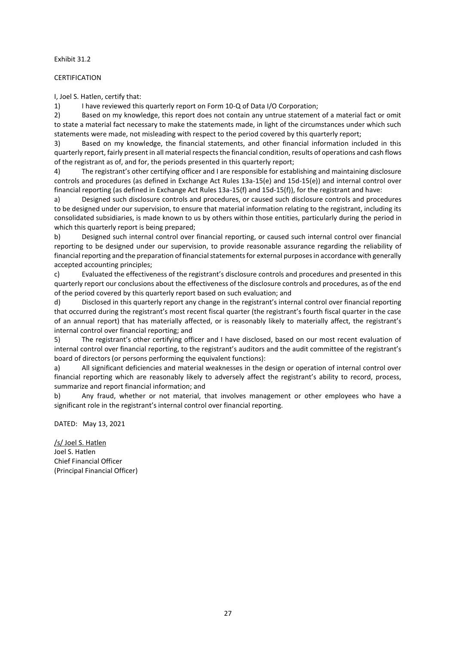Exhibit 31.2

## CERTIFICATION

I, Joel S. Hatlen, certify that:

1) I have reviewed this quarterly report on Form 10-Q of Data I/O Corporation;

2) Based on my knowledge, this report does not contain any untrue statement of a material fact or omit to state a material fact necessary to make the statements made, in light of the circumstances under which such statements were made, not misleading with respect to the period covered by this quarterly report;

3) Based on my knowledge, the financial statements, and other financial information included in this quarterly report, fairly present in all material respects the financial condition, results of operations and cash flows of the registrant as of, and for, the periods presented in this quarterly report;

4) The registrant's other certifying officer and I are responsible for establishing and maintaining disclosure controls and procedures (as defined in Exchange Act Rules 13a-15(e) and 15d-15(e)) and internal control over financial reporting (as defined in Exchange Act Rules 13a-15(f) and 15d-15(f)), for the registrant and have:

a) Designed such disclosure controls and procedures, or caused such disclosure controls and procedures to be designed under our supervision, to ensure that material information relating to the registrant, including its consolidated subsidiaries, is made known to us by others within those entities, particularly during the period in which this quarterly report is being prepared;

b) Designed such internal control over financial reporting, or caused such internal control over financial reporting to be designed under our supervision, to provide reasonable assurance regarding the reliability of financial reporting and the preparation of financial statements for external purposes in accordance with generally accepted accounting principles;

c) Evaluated the effectiveness of the registrant's disclosure controls and procedures and presented in this quarterly report our conclusions about the effectiveness of the disclosure controls and procedures, as of the end of the period covered by this quarterly report based on such evaluation; and

d) Disclosed in this quarterly report any change in the registrant's internal control over financial reporting that occurred during the registrant's most recent fiscal quarter (the registrant's fourth fiscal quarter in the case of an annual report) that has materially affected, or is reasonably likely to materially affect, the registrant's internal control over financial reporting; and

5) The registrant's other certifying officer and I have disclosed, based on our most recent evaluation of internal control over financial reporting, to the registrant's auditors and the audit committee of the registrant's board of directors (or persons performing the equivalent functions):

a) All significant deficiencies and material weaknesses in the design or operation of internal control over financial reporting which are reasonably likely to adversely affect the registrant's ability to record, process, summarize and report financial information; and

b) Any fraud, whether or not material, that involves management or other employees who have a significant role in the registrant's internal control over financial reporting.

DATED: May 13, 2021

/s/ Joel S. Hatlen Joel S. Hatlen Chief Financial Officer (Principal Financial Officer)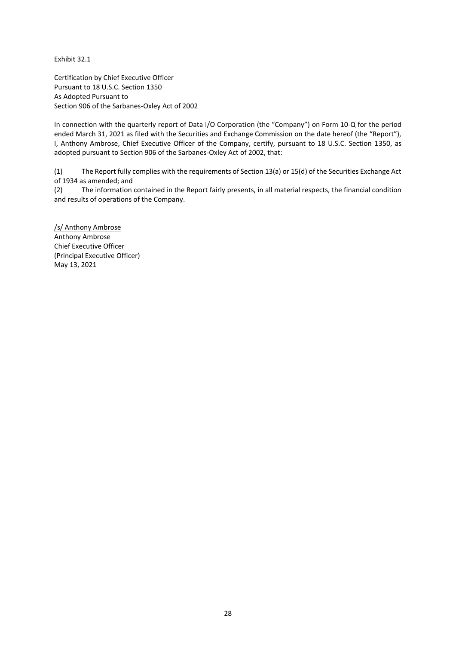Exhibit 32.1

Certification by Chief Executive Officer Pursuant to 18 U.S.C. Section 1350 As Adopted Pursuant to Section 906 of the Sarbanes-Oxley Act of 2002

In connection with the quarterly report of Data I/O Corporation (the "Company") on Form 10-Q for the period ended March 31, 2021 as filed with the Securities and Exchange Commission on the date hereof (the "Report"), I, Anthony Ambrose, Chief Executive Officer of the Company, certify, pursuant to 18 U.S.C. Section 1350, as adopted pursuant to Section 906 of the Sarbanes-Oxley Act of 2002, that:

(1) The Report fully complies with the requirements of Section 13(a) or 15(d) of the Securities Exchange Act of 1934 as amended; and

(2) The information contained in the Report fairly presents, in all material respects, the financial condition and results of operations of the Company.

/s/ Anthony Ambrose Anthony Ambrose Chief Executive Officer (Principal Executive Officer) May 13, 2021